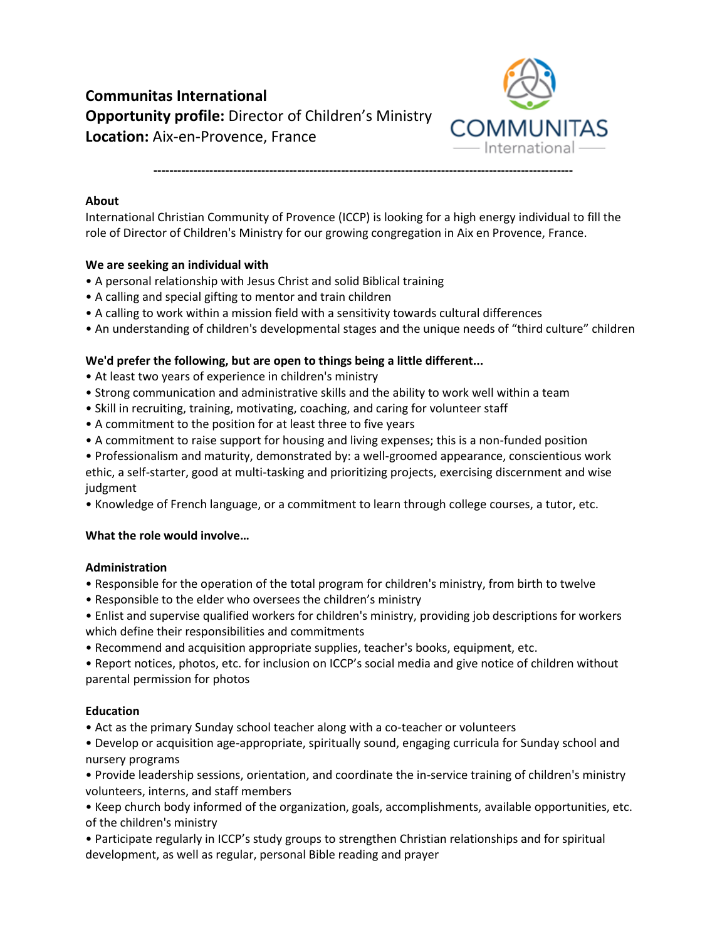

**---------------------------------------------------------------------------------------------------------**

# **About**

International Christian Community of Provence (ICCP) is looking for a high energy individual to fill the role of Director of Children's Ministry for our growing congregation in Aix en Provence, France.

## **We are seeking an individual with**

- A personal relationship with Jesus Christ and solid Biblical training
- A calling and special gifting to mentor and train children
- A calling to work within a mission field with a sensitivity towards cultural differences
- An understanding of children's developmental stages and the unique needs of "third culture" children

## **We'd prefer the following, but are open to things being a little different...**

- At least two years of experience in children's ministry
- Strong communication and administrative skills and the ability to work well within a team
- Skill in recruiting, training, motivating, coaching, and caring for volunteer staff
- A commitment to the position for at least three to five years
- A commitment to raise support for housing and living expenses; this is a non-funded position
- Professionalism and maturity, demonstrated by: a well-groomed appearance, conscientious work ethic, a self-starter, good at multi-tasking and prioritizing projects, exercising discernment and wise judgment
- Knowledge of French language, or a commitment to learn through college courses, a tutor, etc.

## **What the role would involve…**

#### **Administration**

- Responsible for the operation of the total program for children's ministry, from birth to twelve
- Responsible to the elder who oversees the children's ministry
- Enlist and supervise qualified workers for children's ministry, providing job descriptions for workers which define their responsibilities and commitments
- Recommend and acquisition appropriate supplies, teacher's books, equipment, etc.
- Report notices, photos, etc. for inclusion on ICCP's social media and give notice of children without parental permission for photos

## **Education**

- Act as the primary Sunday school teacher along with a co-teacher or volunteers
- Develop or acquisition age-appropriate, spiritually sound, engaging curricula for Sunday school and nursery programs
- Provide leadership sessions, orientation, and coordinate the in-service training of children's ministry volunteers, interns, and staff members
- Keep church body informed of the organization, goals, accomplishments, available opportunities, etc. of the children's ministry
- Participate regularly in ICCP's study groups to strengthen Christian relationships and for spiritual development, as well as regular, personal Bible reading and prayer